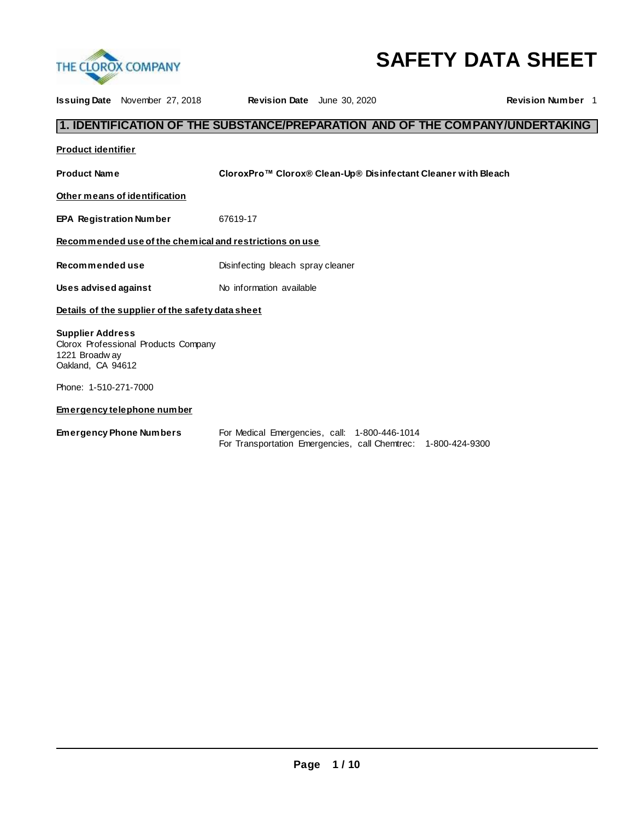

# **SAFETY DATA SHEET**

| <b>Issuing Date</b> November 27, 2018                                                                 | <b>Revision Date</b> June 30, 2020 |                                                               | <b>Revision Number 1</b>                                                      |
|-------------------------------------------------------------------------------------------------------|------------------------------------|---------------------------------------------------------------|-------------------------------------------------------------------------------|
|                                                                                                       |                                    |                                                               | 1. IDENTIFICATION OF THE SUBSTANCE/PREPARATION AND OF THE COMPANY/UNDERTAKING |
| <b>Product identifier</b>                                                                             |                                    |                                                               |                                                                               |
| <b>Product Name</b>                                                                                   |                                    | CloroxPro™ Clorox® Clean-Up® Disinfectant Cleaner with Bleach |                                                                               |
| Other means of identification                                                                         |                                    |                                                               |                                                                               |
| <b>EPA Registration Number</b>                                                                        | 67619-17                           |                                                               |                                                                               |
| Recommended use of the chemical and restrictions on use                                               |                                    |                                                               |                                                                               |
| Recommended use                                                                                       | Disinfecting bleach spray cleaner  |                                                               |                                                                               |
| Uses advised against                                                                                  | No information available           |                                                               |                                                                               |
| Details of the supplier of the safety data sheet                                                      |                                    |                                                               |                                                                               |
| <b>Supplier Address</b><br>Clorox Professional Products Company<br>1221 Broadway<br>Oakland, CA 94612 |                                    |                                                               |                                                                               |
| Phone: 1-510-271-7000                                                                                 |                                    |                                                               |                                                                               |
| <b>Emergency telephone number</b>                                                                     |                                    |                                                               |                                                                               |
| <b>Emergency Phone Numbers</b>                                                                        |                                    | For Medical Emergencies, call: 1-800-446-1014                 |                                                                               |

For Transportation Emergencies, call Chemtrec: 1-800-424-9300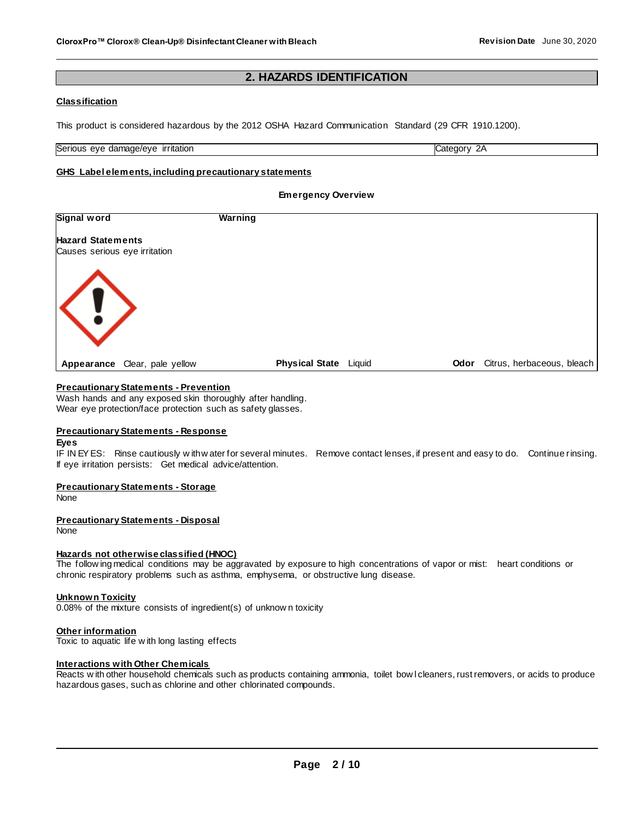## **2. HAZARDS IDENTIFICATION**

## **Classification**

This product is considered hazardous by the 2012 OSHA Hazard Communication Standard (29 CFR 1910.1200).

Serious eye damage/eye irritation Category 2A

## **GHS Label elements, including precautionary statements**

#### **Emergency Overview**

| <b>Signal word</b>            | <b>Warning</b>               |      |                            |  |
|-------------------------------|------------------------------|------|----------------------------|--|
| <b>Hazard Statements</b>      |                              |      |                            |  |
| Causes serious eye irritation |                              |      |                            |  |
|                               |                              |      |                            |  |
|                               |                              |      |                            |  |
| $\langle ! \rangle$           |                              |      |                            |  |
|                               |                              |      |                            |  |
|                               |                              |      |                            |  |
| Appearance Clear, pale yellow | <b>Physical State</b> Liquid | Odor | Citrus, herbaceous, bleach |  |

#### **Precautionary Statements - Prevention**

Wash hands and any exposed skin thoroughly after handling. Wear eye protection/face protection such as safety glasses.

#### **Precautionary Statements - Response**

#### **Eyes**

IF IN EY ES: Rinse cautiously w ith w ater for several minutes. Remove contact lenses, if present and easy to do. Continue rinsing. If eye irritation persists: Get medical advice/attention.

#### **Precautionary Statements - Storage**

**None** 

#### **Precautionary Statements - Disposal**

None

#### **Hazards not otherwise classified (HNOC)**

The follow ing medical conditions may be aggravated by exposure to high concentrations of vapor or mist: heart conditions or chronic respiratory problems such as asthma, emphysema, or obstructive lung disease.

#### **Unknown Toxicity**

0.08% of the mixture consists of ingredient(s) of unknow n toxicity

#### **Other information**

Toxic to aquatic life w ith long lasting effects

#### **Interactions with Other Chemicals**

Reacts w ith other household chemicals such as products containing ammonia, toilet bow l cleaners, rust removers, or acids to produce hazardous gases, such as chlorine and other chlorinated compounds.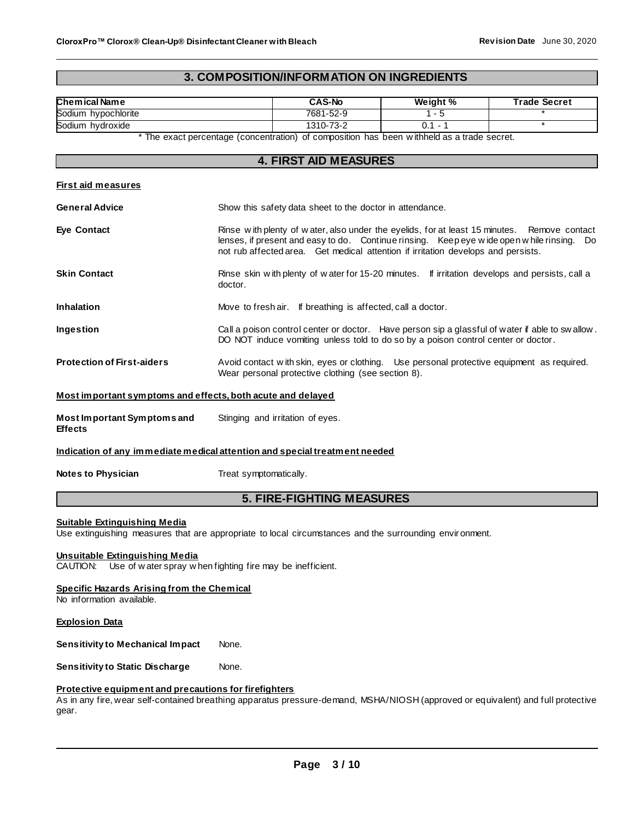## **3. COMPOSITION/INFORMATION ON INGREDIENTS**

| Chemical Name                                               | <b>CAS-No</b>                                                                                                                                                                                                                                                                    | Weight %  | <b>Trade Secret</b> |  |
|-------------------------------------------------------------|----------------------------------------------------------------------------------------------------------------------------------------------------------------------------------------------------------------------------------------------------------------------------------|-----------|---------------------|--|
| Sodium hypochlorite                                         | 7681-52-9<br>$1 - 5$                                                                                                                                                                                                                                                             |           |                     |  |
| Sodium hydroxide                                            | 1310-73-2                                                                                                                                                                                                                                                                        | $0.1 - 1$ | $\ast$              |  |
|                                                             | * The exact percentage (concentration) of composition has been withheld as a trade secret.                                                                                                                                                                                       |           |                     |  |
|                                                             | <b>4. FIRST AID MEASURES</b>                                                                                                                                                                                                                                                     |           |                     |  |
|                                                             |                                                                                                                                                                                                                                                                                  |           |                     |  |
| <b>First aid measures</b>                                   |                                                                                                                                                                                                                                                                                  |           |                     |  |
| <b>General Advice</b>                                       | Show this safety data sheet to the doctor in attendance.                                                                                                                                                                                                                         |           |                     |  |
| <b>Eye Contact</b>                                          | Rinse with plenty of water, also under the eyelids, for at least 15 minutes.<br>Remove contact<br>lenses, if present and easy to do. Continue rinsing. Keep eye wide open while rinsing. Do<br>not rub affected area. Get medical attention if irritation develops and persists. |           |                     |  |
| <b>Skin Contact</b>                                         | Rinse skin with plenty of water for 15-20 minutes. If irritation develops and persists, call a<br>doctor.                                                                                                                                                                        |           |                     |  |
| <b>Inhalation</b>                                           | Move to fresh air. If breathing is affected, call a doctor.                                                                                                                                                                                                                      |           |                     |  |
| Ingestion                                                   | Call a poison control center or doctor. Have person sip a glassful of water if able to swallow.<br>DO NOT induce vomiting unless told to do so by a poison control center or doctor.                                                                                             |           |                     |  |
| <b>Protection of First-aiders</b>                           | Avoid contact with skin, eyes or clothing. Use personal protective equipment as required.<br>Wear personal protective clothing (see section 8).                                                                                                                                  |           |                     |  |
| Most important symptoms and effects, both acute and delayed |                                                                                                                                                                                                                                                                                  |           |                     |  |
| Most Important Symptoms and<br><b>Effects</b>               | Stinging and irritation of eyes.                                                                                                                                                                                                                                                 |           |                     |  |
|                                                             | Indication of any immediate medical attention and special treatment needed                                                                                                                                                                                                       |           |                     |  |
| <b>Notes to Physician</b>                                   | Treat symptomatically.                                                                                                                                                                                                                                                           |           |                     |  |
| <b>5. FIRE-FIGHTING MEASURES</b>                            |                                                                                                                                                                                                                                                                                  |           |                     |  |
|                                                             |                                                                                                                                                                                                                                                                                  |           |                     |  |

## **Suitable Extinguishing Media**

Use extinguishing measures that are appropriate to local circumstances and the surrounding environment.

#### **Unsuitable Extinguishing Media**

CAUTION: Use of w ater spray w hen fighting fire may be inefficient.

#### **Specific Hazards Arising from the Chemical**

No information available.

#### **Explosion Data**

**Sensitivity to Mechanical Impact None.** 

**Sensitivity to Static Discharge Mone.** 

## **Protective equipment and precautions for firefighters**

As in any fire, wear self-contained breathing apparatus pressure-demand, MSHA/NIOSH (approved or equivalent) and full protective gear.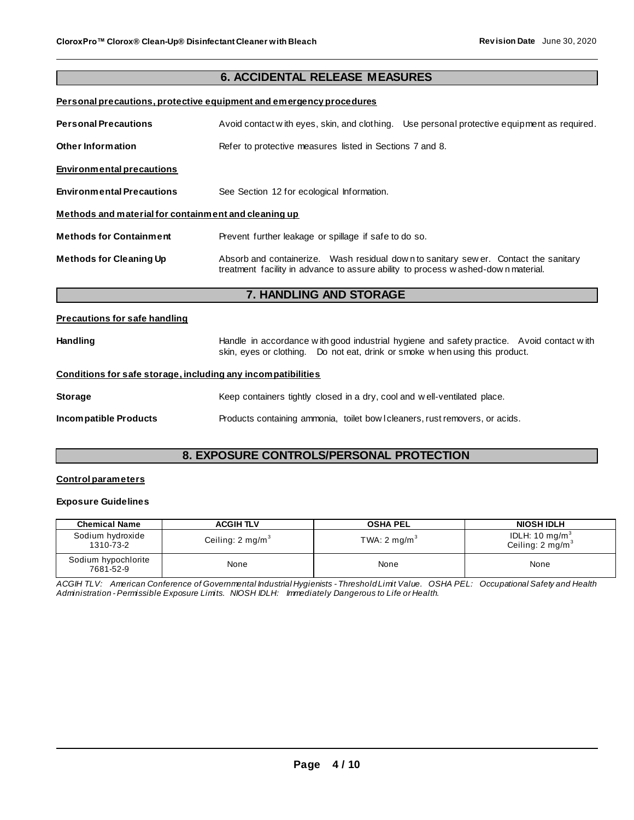## **6. ACCIDENTAL RELEASE MEASURES**

## **Personal precautions, protective equipment and emergency procedures**

| <b>Personal Precautions</b>                          | Use personal protective equipment as required.<br>Avoid contact with eyes, skin, and clothing.                                                                           |  |  |  |
|------------------------------------------------------|--------------------------------------------------------------------------------------------------------------------------------------------------------------------------|--|--|--|
| Other Information                                    | Refer to protective measures listed in Sections 7 and 8.                                                                                                                 |  |  |  |
| <b>Environmental precautions</b>                     |                                                                                                                                                                          |  |  |  |
| <b>Environmental Precautions</b>                     | See Section 12 for ecological Information.                                                                                                                               |  |  |  |
| Methods and material for containment and cleaning up |                                                                                                                                                                          |  |  |  |
| <b>Methods for Containment</b>                       | Prevent further leakage or spillage if safe to do so.                                                                                                                    |  |  |  |
| <b>Methods for Cleaning Up</b>                       | Absorb and containerize. Wash residual down to sanitary sew er. Contact the sanitary<br>treatment facility in advance to assure ability to process washed-down material. |  |  |  |

## **7. HANDLING AND STORAGE**

## **Precautions for safe handling**

| <b>Handling</b> | Handle in accordance with good industrial hygiene and safety practice. Avoid contact with |  |
|-----------------|-------------------------------------------------------------------------------------------|--|
|                 | skin, eyes or clothing.  Do not eat, drink or smoke when using this product.              |  |

#### **Conditions for safe storage, including any incompatibilities**

| <b>Storage</b>        | Keep containers tightly closed in a dry, cool and well-ventilated place.     |  |  |
|-----------------------|------------------------------------------------------------------------------|--|--|
| Incompatible Products | Products containing ammonia, toilet bow I cleaners, rust removers, or acids. |  |  |

## **8. EXPOSURE CONTROLS/PERSONAL PROTECTION**

## **Control parameters**

## **Exposure Guidelines**

| <b>Chemical Name</b>             | <b>ACGIH TLV</b>            | <b>OSHA PEL</b>         | <b>NIOSH IDLH</b>                                         |
|----------------------------------|-----------------------------|-------------------------|-----------------------------------------------------------|
| Sodium hydroxide<br>1310-73-2    | Ceiling: $2 \text{ mg/m}^3$ | TWA: $2 \text{ mg/m}^3$ | IDLH: 10 mg/m <sup>3</sup><br>Ceiling: $2 \text{ mg/m}^3$ |
| Sodium hypochlorite<br>7681-52-9 | None                        | None                    | None                                                      |

*ACGIH TLV: American Conference of Governmental Industrial Hygienists - Threshold Limit Value. OSHA PEL: Occupational Safety and Health Administration - Permissible Exposure Limits. NIOSH IDLH: Immediately Dangerous to Life or Health.*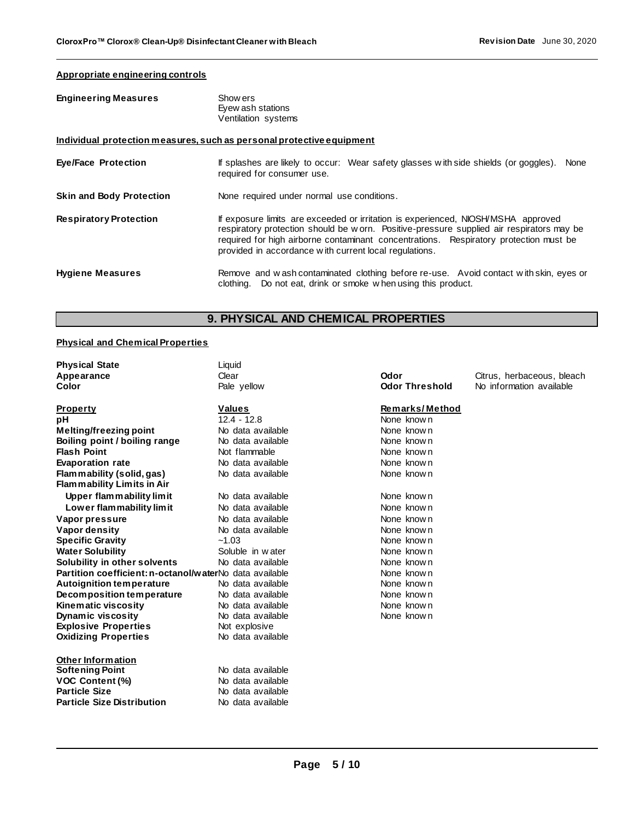## **Appropriate engineering controls**

| <b>Engineering Measures</b>     | Show ers<br>Eyew ash stations<br>Ventilation systems                                                                                                                                                                                                                                                                              |
|---------------------------------|-----------------------------------------------------------------------------------------------------------------------------------------------------------------------------------------------------------------------------------------------------------------------------------------------------------------------------------|
|                                 | Individual protection measures, such as personal protective equipment                                                                                                                                                                                                                                                             |
| <b>Eye/Face Protection</b>      | If splashes are likely to occur: Wear safety glasses with side shields (or goggles).<br>None<br>required for consumer use.                                                                                                                                                                                                        |
| <b>Skin and Body Protection</b> | None required under normal use conditions.                                                                                                                                                                                                                                                                                        |
| <b>Respiratory Protection</b>   | If exposure limits are exceeded or irritation is experienced, NIOSH/MSHA approved<br>respiratory protection should be w orn. Positive-pressure supplied air respirators may be<br>required for high airborne contaminant concentrations. Respiratory protection must be<br>provided in accordance with current local regulations. |
| <b>Hygiene Measures</b>         | Remove and wash contaminated clothing before re-use. Avoid contact with skin, eyes or<br>clothing. Do not eat, drink or smoke when using this product.                                                                                                                                                                            |

## **9. PHYSICAL AND CHEMICAL PROPERTIES**

## **Physical and Chemical Properties**

| <b>Physical State</b>                                   | Liquid            |                       |                            |
|---------------------------------------------------------|-------------------|-----------------------|----------------------------|
| Appearance                                              | Clear             | Odor                  | Citrus, herbaceous, bleach |
| Color                                                   | Pale yellow       | <b>Odor Threshold</b> | No information available   |
| <b>Property</b>                                         | <b>Values</b>     | Remarks/Method        |                            |
| рH                                                      | $12.4 - 12.8$     | None known            |                            |
| Melting/freezing point                                  | No data available | None known            |                            |
| Boiling point / boiling range                           | No data available | None known            |                            |
| <b>Flash Point</b>                                      | Not flammable     | None known            |                            |
| <b>Evaporation rate</b>                                 | No data available | None known            |                            |
| Flammability (solid, gas)                               | No data available | None known            |                            |
| Flammability Limits in Air                              |                   |                       |                            |
| Upper flammability limit                                | No data available | None known            |                            |
| Lower flammability limit                                | No data available | None known            |                            |
| Vapor pressure                                          | No data available | None known            |                            |
| Vapor density                                           | No data available | None known            |                            |
| <b>Specific Gravity</b>                                 | $-1.03$           | None known            |                            |
| <b>Water Solubility</b>                                 | Soluble in water  | None known            |                            |
| Solubility in other solvents                            | No data available | None known            |                            |
| Partition coefficient: n-octanol/waterNo data available |                   | None known            |                            |
| <b>Autoignition temperature</b>                         | No data available | None known            |                            |
| Decomposition temperature                               | No data available | None known            |                            |
| Kinematic viscosity                                     | No data available | None known            |                            |
| <b>Dynamic viscosity</b>                                | No data available | None known            |                            |
| <b>Explosive Properties</b>                             | Not explosive     |                       |                            |
| <b>Oxidizing Properties</b>                             | No data available |                       |                            |
| <b>Other Information</b>                                |                   |                       |                            |
| <b>Softening Point</b>                                  | No data available |                       |                            |
| <b>VOC Content (%)</b>                                  | No data available |                       |                            |
| <b>Particle Size</b>                                    | No data available |                       |                            |
| <b>Particle Size Distribution</b>                       | No data available |                       |                            |
|                                                         |                   |                       |                            |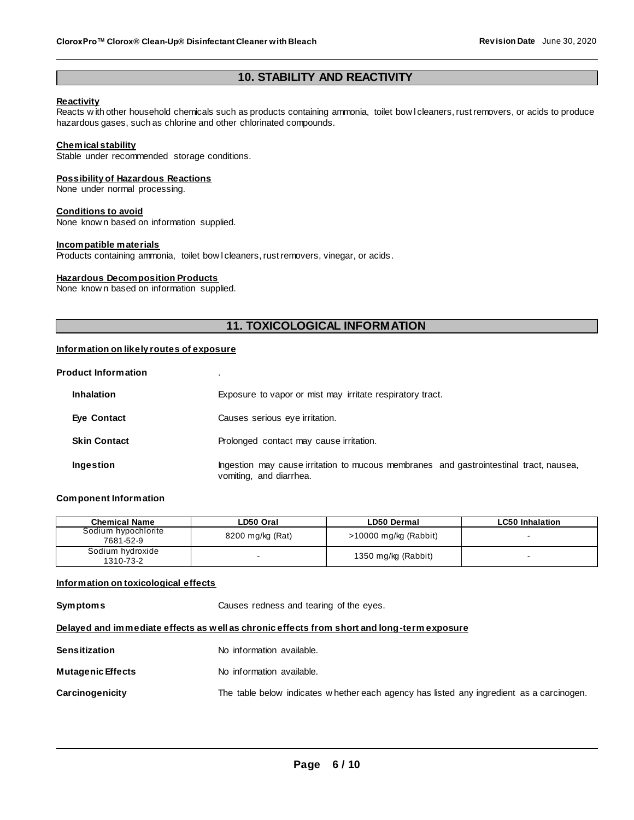## **10. STABILITY AND REACTIVITY**

#### **Reactivity**

Reacts w ith other household chemicals such as products containing ammonia, toilet bow l cleaners, rust removers, or acids to produce hazardous gases, such as chlorine and other chlorinated compounds.

#### **Chemical stability**

Stable under recommended storage conditions.

#### **Possibility of Hazardous Reactions**

None under normal processing.

#### **Conditions to avoid**

None know n based on information supplied.

#### **Incompatible materials**

Products containing ammonia, toilet bow I cleaners, rust removers, vinegar, or acids.

#### **Hazardous Decomposition Products**

None know n based on information supplied.

## **11. TOXICOLOGICAL INFORMATION**

#### **Information on likely routes of exposure**

#### **Product Information** .

| <b>Inhalation</b>   | Exposure to vapor or mist may irritate respiratory tract.                                                         |
|---------------------|-------------------------------------------------------------------------------------------------------------------|
| Eye Contact         | Causes serious eye irritation.                                                                                    |
| <b>Skin Contact</b> | Prolonged contact may cause irritation.                                                                           |
| Ingestion           | Ingestion may cause irritation to mucous membranes and gastrointestinal tract, nausea,<br>vomiting, and diarrhea. |

#### **Component Information**

| <b>Chemical Name</b>             | LD50 Oral        | LD50 Dermal             | <b>LC50 Inhalation</b> |
|----------------------------------|------------------|-------------------------|------------------------|
| Sodium hypochlorite<br>7681-52-9 | 8200 mg/kg (Rat) | $>10000$ mg/kg (Rabbit) |                        |
| Sodium hydroxide<br>1310-73-2    |                  | 1350 mg/kg (Rabbit)     |                        |

#### **Information on toxicological effects**

**Symptoms** Causes redness and tearing of the eyes. **Delayed and immediate effects as well as chronic effects from short and long-term exposure Sensitization** No information available.

| Mutagenic Effects<br>No information available. |  |
|------------------------------------------------|--|
|------------------------------------------------|--|

## **Carcinogenicity** The table below indicates w hether each agency has listed any ingredient as a carcinogen.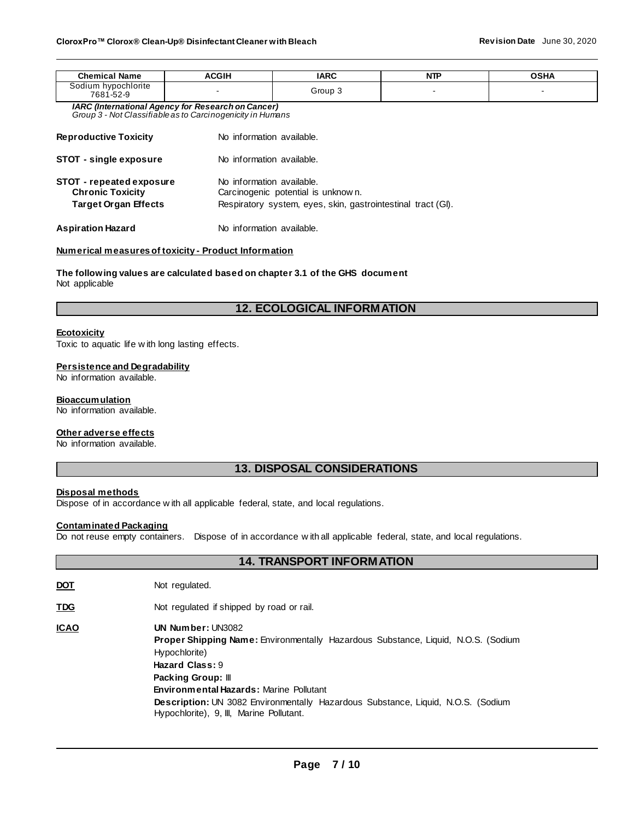| <b>Chemical Name</b>                                                                                                                                                                                                  | <b>ACGIH</b> | <b>IARC</b>               | <b>NTP</b> | <b>OSHA</b> |  |  |  |
|-----------------------------------------------------------------------------------------------------------------------------------------------------------------------------------------------------------------------|--------------|---------------------------|------------|-------------|--|--|--|
| Sodium hypochlorite<br>7681-52-9                                                                                                                                                                                      |              | Group 3                   |            |             |  |  |  |
| <b>IARC (International Agency for Research on Cancer)</b><br>Group 3 - Not Classifiable as to Carcinogenicity in Humans                                                                                               |              |                           |            |             |  |  |  |
| <b>Reproductive Toxicity</b>                                                                                                                                                                                          |              | No information available. |            |             |  |  |  |
| <b>STOT - single exposure</b>                                                                                                                                                                                         |              | No information available. |            |             |  |  |  |
| No information available.<br>STOT - repeated exposure<br><b>Chronic Toxicity</b><br>Carcinogenic potential is unknown.<br>Respiratory system, eyes, skin, gastrointestinal tract (GI).<br><b>Target Organ Effects</b> |              |                           |            |             |  |  |  |
| <b>Aspiration Hazard</b>                                                                                                                                                                                              |              | No information available. |            |             |  |  |  |

#### **Numerical measures of toxicity - Product Information**

**The following values are calculated based on chapter 3.1 of the GHS document** Not applicable

## **12. ECOLOGICAL INFORMATION**

#### **Ecotoxicity**

Toxic to aquatic life w ith long lasting effects.

#### **Persistence and Degradability**

No information available.

#### **Bioaccumulation**

No information available.

#### **Other adverse effects**

No information available.

## **13. DISPOSAL CONSIDERATIONS**

**14. TRANSPORT INFORMATION**

#### **Disposal methods**

Dispose of in accordance w ith all applicable federal, state, and local regulations.

## **Contaminated Packaging**

Do not reuse empty containers. Dispose of in accordance w ith all applicable federal, state, and local regulations.

| <u>DOT</u>  | Not regulated.                                                                                                                                                                                                                                                                                                                                                          |
|-------------|-------------------------------------------------------------------------------------------------------------------------------------------------------------------------------------------------------------------------------------------------------------------------------------------------------------------------------------------------------------------------|
| <b>TDG</b>  | Not regulated if shipped by road or rail.                                                                                                                                                                                                                                                                                                                               |
| <u>ICAO</u> | UN Number: UN3082<br><b>Proper Shipping Name:</b> Environmentally Hazardous Substance, Liquid, N.O.S. (Sodium<br>Hypochlorite)<br>Hazard Class: 9<br><b>Packing Group:</b> III<br><b>Environmental Hazards: Marine Pollutant</b><br><b>Description:</b> UN 3082 Environmentally Hazardous Substance, Liquid, N.O.S. (Sodium<br>Hypochlorite), 9, III, Marine Pollutant. |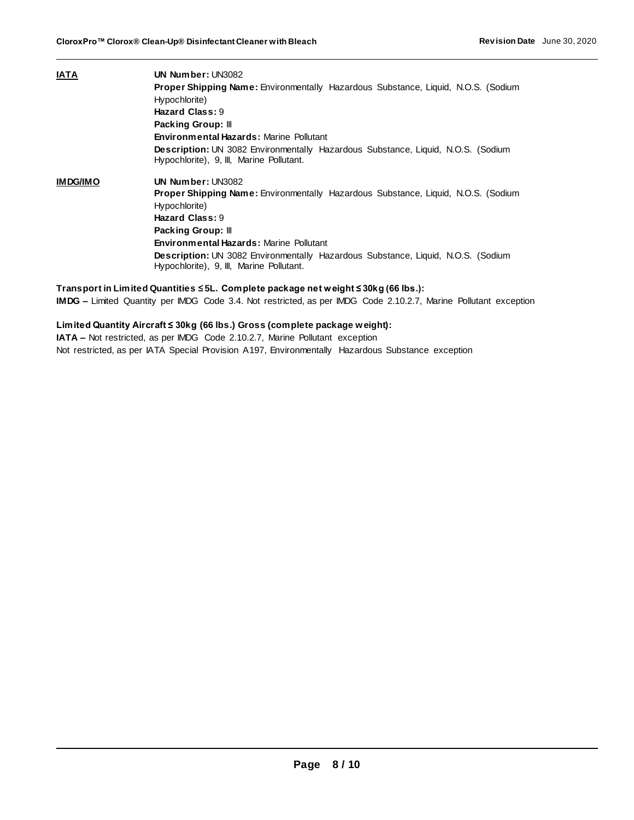| IATA            | UN Number: UN3082                                                                                                                   |  |  |  |  |  |
|-----------------|-------------------------------------------------------------------------------------------------------------------------------------|--|--|--|--|--|
|                 | <b>Proper Shipping Name: Environmentally Hazardous Substance, Liquid, N.O.S. (Sodium</b>                                            |  |  |  |  |  |
|                 | Hypochlorite)                                                                                                                       |  |  |  |  |  |
|                 | Hazard Class: 9                                                                                                                     |  |  |  |  |  |
|                 | Packing Group: III                                                                                                                  |  |  |  |  |  |
|                 | <b>Environmental Hazards: Marine Pollutant</b>                                                                                      |  |  |  |  |  |
|                 | <b>Description: UN</b> 3082 Environmentally Hazardous Substance, Liquid, N.O.S. (Sodium<br>Hypochlorite), 9, III, Marine Pollutant. |  |  |  |  |  |
| <b>IMDG/IMO</b> | UN Number: UN3082                                                                                                                   |  |  |  |  |  |
|                 | <b>Proper Shipping Name:</b> Environmentally Hazardous Substance, Liquid, N.O.S. (Sodium                                            |  |  |  |  |  |
|                 | Hypochlorite)                                                                                                                       |  |  |  |  |  |
|                 | Hazard Class: 9                                                                                                                     |  |  |  |  |  |
|                 | Packing Group: III                                                                                                                  |  |  |  |  |  |
|                 | <b>Environmental Hazards: Marine Pollutant</b>                                                                                      |  |  |  |  |  |
|                 | <b>Description:</b> UN 3082 Environmentally Hazardous Substance, Liquid, N.O.S. (Sodium<br>Hypochlorite), 9, III, Marine Pollutant. |  |  |  |  |  |
|                 |                                                                                                                                     |  |  |  |  |  |

**Transport in Limited Quantities ≤ 5L. Complete package net weight ≤ 30kg (66 lbs.): IMDG –** Limited Quantity per IMDG Code 3.4. Not restricted, as per IMDG Code 2.10.2.7, Marine Pollutant exception

**Limited Quantity Aircraft ≤ 30kg (66 lbs.) Gross (complete package weight):**

**IATA –** Not restricted, as per IMDG Code 2.10.2.7, Marine Pollutant exception Not restricted, as per IATA Special Provision A197, Environmentally Hazardous Substance exception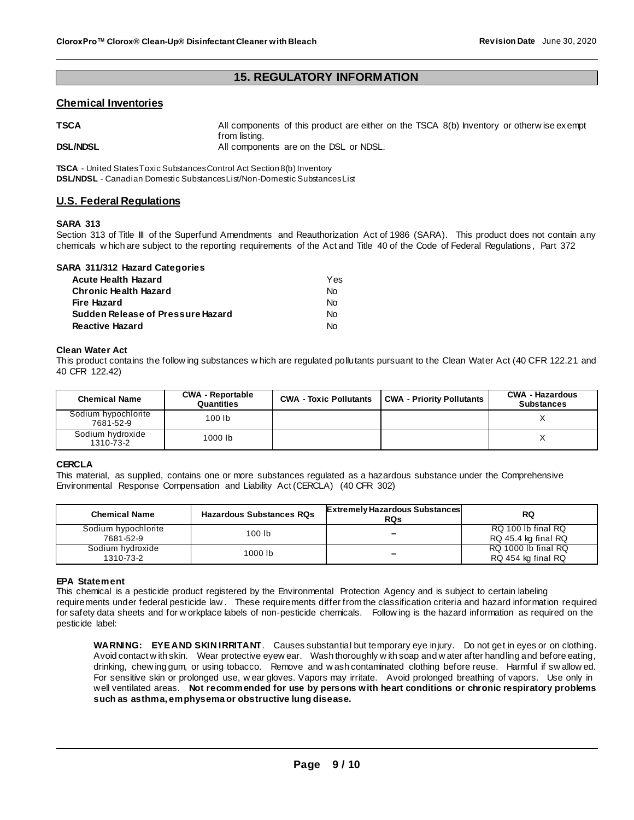## **15. REGULATORY INFORMATION**

## **Chemical Inventories**

| TSCA            | All components of this product are either on the TSCA 8(b) Inventory or otherwise exempt<br>from listing. |  |
|-----------------|-----------------------------------------------------------------------------------------------------------|--|
| <b>DSL/NDSL</b> | All components are on the DSL or NDSL.                                                                    |  |

**TSCA** - United States Toxic Substances Control Act Section 8(b) Inventory **DSL/NDSL** - Canadian Domestic Substances List/Non-Domestic Substances List

## **U.S. Federal Regulations**

#### **SARA 313**

Section 313 of Title III of the Superfund Amendments and Reauthorization Act of 1986 (SARA). This product does not contain any chemicals w hich are subject to the reporting requirements of the Act and Title 40 of the Code of Federal Regulations , Part 372

| SARA 311/312 Hazard Categories    |     |
|-----------------------------------|-----|
| <b>Acute Health Hazard</b>        | Yes |
| <b>Chronic Health Hazard</b>      | No  |
| Fire Hazard                       | Nο  |
| Sudden Release of Pressure Hazard | No  |
| <b>Reactive Hazard</b>            |     |

#### **Clean Water Act**

This product contains the follow ing substances w hich are regulated pollutants pursuant to the Clean Water Act (40 CFR 122.21 and 40 CFR 122.42)

| <b>Chemical Name</b>             | <b>CWA - Reportable</b><br>Quantities | <b>CWA - Toxic Pollutants</b> | CWA - Priority Pollutants | <b>CWA - Hazardous</b><br><b>Substances</b> |
|----------------------------------|---------------------------------------|-------------------------------|---------------------------|---------------------------------------------|
| Sodium hypochlorite<br>7681-52-9 | 100 lb                                |                               |                           |                                             |
| Sodium hydroxide<br>1310-73-2    | 1000 lb                               |                               |                           |                                             |

#### **CERCLA**

This material, as supplied, contains one or more substances regulated as a hazardous substance under the Comprehensive Environmental Response Compensation and Liability Act (CERCLA) (40 CFR 302)

| <b>Chemical Name</b>             | <b>Hazardous Substances RQs</b> | <b>Extremely Hazardous Substances</b><br><b>RQs</b> | <b>RQ</b>                                 |
|----------------------------------|---------------------------------|-----------------------------------------------------|-------------------------------------------|
| Sodium hypochlorite<br>7681-52-9 | 100 lb                          | -                                                   | RQ 100 lb final RQ<br>RQ 45.4 kg final RQ |
| Sodium hydroxide<br>1310-73-2    | 1000 lb                         | -                                                   | RQ 1000 lb final RQ<br>RQ 454 kg final RQ |

#### **EPA Statement**

This chemical is a pesticide product registered by the Environmental Protection Agency and is subject to certain labeling requirements under federal pesticide law . These requirements differ from the classification criteria and hazard information required for safety data sheets and for w orkplace labels of non-pesticide chemicals. Follow ing is the hazard information as required on the pesticide label:

**WARNING: EYE AND SKIN IRRITANT**. Causes substantial but temporary eye injury. Do not get in eyes or on clothing. Avoid contact w ith skin. Wear protective eyew ear. Wash thoroughly w ith soap and w ater after handling and before eating, drinking, chew ing gum, or using tobacco. Remove and w ash contaminated clothing before reuse. Harmful if sw allow ed. For sensitive skin or prolonged use, w ear gloves. Vapors may irritate. Avoid prolonged breathing of vapors. Use only in well ventilated areas. **Not recommended for use by persons with heart conditions or chronic respiratory problems such as asthma, emphysema or obstructive lung disease.**